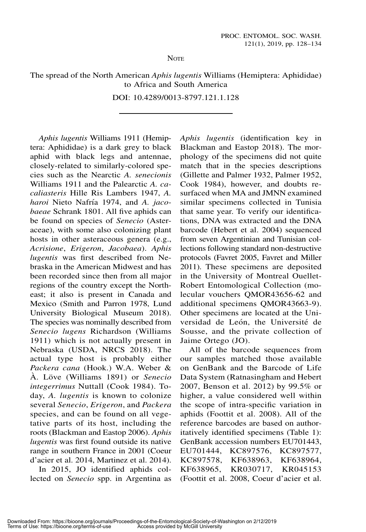**NOTE** 

The spread of the North American Aphis lugentis Williams (Hemiptera: Aphididae) to Africa and South America

DOI: 10.4289/0013-8797.121.1.128

Aphis lugentis Williams 1911 (Hemiptera: Aphididae) is a dark grey to black aphid with black legs and antennae, closely-related to similarly-colored species such as the Nearctic A. senecionis Williams 1911 and the Palearctic A. cacaliasteris Hille Ris Lambers 1947, A. haroi Nieto Nafría 1974, and A. jacobaeae Schrank 1801. All five aphids can be found on species of Senecio (Asteraceae), with some also colonizing plant hosts in other asteraceous genera (e.g., Acrisione, Erigeron, Jacobaea). Aphis lugentis was first described from Nebraska in the American Midwest and has been recorded since then from all major regions of the country except the Northeast; it also is present in Canada and Mexico (Smith and Parron 1978, Lund University Biological Museum 2018). The species was nominally described from Senecio lugens Richardson (Williams 1911) which is not actually present in Nebraska (USDA, NRCS 2018). The actual type host is probably either Packera cana (Hook.) W.A. Weber & A. Löve (Williams 1891) or Senecio integerrimus Nuttall (Cook 1984). Today, A. *lugentis* is known to colonize several Senecio, Erigeron, and Packera species, and can be found on all vegetative parts of its host, including the roots (Blackman and Eastop 2006). Aphis lugentis was first found outside its native range in southern France in 2001 (Coeur d'acier et al. 2014, Martinez et al. 2014).

In 2015, JO identified aphids collected on Senecio spp. in Argentina as Aphis lugentis (identification key in Blackman and Eastop 2018). The morphology of the specimens did not quite match that in the species descriptions (Gillette and Palmer 1932, Palmer 1952, Cook 1984), however, and doubts resurfaced when MA and JMNN examined similar specimens collected in Tunisia that same year. To verify our identifications, DNA was extracted and the DNA barcode (Hebert et al. 2004) sequenced from seven Argentinian and Tunisian collections following standard non-destructive protocols (Favret 2005, Favret and Miller 2011). These specimens are deposited in the University of Montreal Ouellet-Robert Entomological Collection (molecular vouchers QMOR43656-62 and additional specimens QMOR43663-9). Other specimens are located at the Universidad de León, the Université de Sousse, and the private collection of Jaime Ortego (JO).

All of the barcode sequences from our samples matched those available on GenBank and the Barcode of Life Data System (Ratnasingham and Hebert 2007, Benson et al. 2012) by 99.5% or higher, a value considered well within the scope of intra-specific variation in aphids (Foottit et al. 2008). All of the reference barcodes are based on authoritatively identified specimens (Table 1): GenBank accession numbers EU701443, EU701444, KC897576, KC897577, KC897578, KF638963, KF638964, KF638965, KR030717, KR045153 (Foottit et al. 2008, Coeur d'acier et al.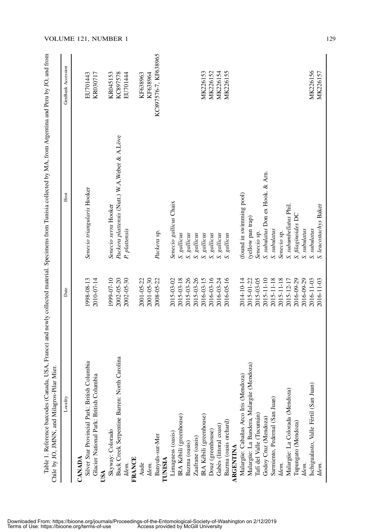| Mier.<br>Chile by JO, JMNN, and Milagros-Pilar  |            |                                                |                      |
|-------------------------------------------------|------------|------------------------------------------------|----------------------|
| Locality                                        | Date       | Host                                           | GenBank Accession    |
| CANADA                                          |            |                                                |                      |
| Silver Star Provincial Park: British Columbia   | 1998-08-13 | Senecio triangularis Hooker                    | EU701443             |
| Glacier National Park: British Columbia         | 2010-07-14 |                                                | KR030717             |
|                                                 |            |                                                |                      |
| Skyway: Colorado                                | 1999-07-10 | Senecio serra Hooker                           | KR045153             |
| Carolina<br>Buck Creek Serpentine Barren: North | 2002-05-20 | Packera plattensis (Nutt.) W.A. Weber & A.Löve | KC897578             |
| Idem.                                           | 2002-05-30 | P. plattensis                                  | EU701444             |
| <b>FRANCE</b>                                   |            |                                                |                      |
| Aude                                            | 2001-05-22 |                                                | KF638963             |
| Idem.                                           | 2001-05-30 |                                                | KF638964             |
| Banyuls-sur-Mer                                 | 2008-05-22 | Packera sp.                                    | KC897576-7, KF638965 |
| TUNISIA                                         |            |                                                |                      |
| Limaguess (oasis)                               | 2015-03-02 | Senecio gallicus Chaix                         |                      |
| IRA Kébili (greenhouse)                         | 2015-03-18 | S. gallicus                                    |                      |
| Bazma (oasis)                                   | 2015-03-26 | S. gallicus                                    |                      |
| Zaafrane (oasis)                                | 2015-03-26 | S. gallicus                                    |                      |
| IRA Kébili (greenhouse)                         | 2016-03-15 | S. gallicus                                    | MK226153             |
| Douz (greenhouse)                               | 2016-03-16 | S. gallicus                                    | MK226152             |
| Gabès (littoral coast)                          | 2016-03-24 | S. gallicus                                    | MK226154             |
| Bazma (oasis orchard)                           | 2016-05-16 | gallicus<br>$\mathcal{S}$                      | MK226155             |
| <b>ARGENTINA</b>                                |            |                                                |                      |
| Malargüe: Cabañas Arco Iris (Mendoza)           | 2014-10-14 | (found in swimming pool)                       |                      |
| Malargüe: La Bandera, Malargüe (Mendoza)        | 2015-01-22 | (yellow pan trap)                              |                      |
| Tafí del Valle (Tucumán)                        | 2015-03-05 | Senecio sp.                                    |                      |
| Godoy Cruz (Mendoza)                            | 2015-11-10 | S. subulatus Don ex Hook. & Arn.               |                      |
| Sarmiento, Pedernal (San Juan)                  | 2015-11-18 | S. subulatus                                   |                      |
| Idem.                                           | 2015-11-18 | Senecio sp.                                    |                      |
| Malargüe: La Colorada (Mendoza)                 | 2015-12-17 | S. subumbellatus Phil                          |                      |
| Tupungato (Mendoza)                             | 2016-09-29 | S. filaginoides DC                             |                      |
| Idem.                                           | 2016-09-29 | S. subulatus                                   |                      |
| (schigualasto, Valle Fértil (San Juan)          | 2016-11-03 | S. subulatus                                   | MK226156             |
| Idem.                                           | 2016-11-03 | S. leucostachys Baker                          | MK226157             |

## VOLUME 121, NUMBER 1 129

Downloaded From: https://bioone.org/journals/Proceedings-of-the-Entomological-Society-of-Washington on 2/12/2019 Terms of Use: https://bioone.org/terms-of-use Access provided by McGill University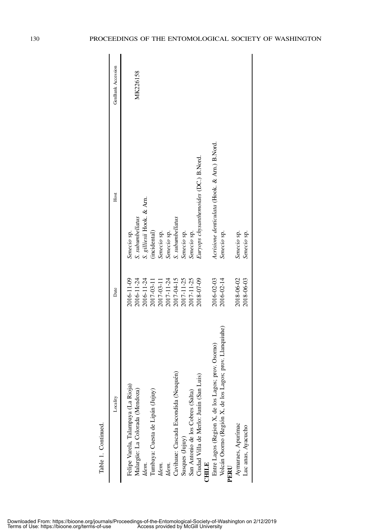| Locality                                                        | Date                     | Host                                         | GenBank Accession |
|-----------------------------------------------------------------|--------------------------|----------------------------------------------|-------------------|
| Felipe Varela, Talampaya (La Rioja)                             | 2016-11-09               | Senecio sp.                                  |                   |
| Malargüe: La Colorada (Mendoza)<br>Idem.                        | 2016-11-24<br>2016-11-24 | S. gilliesii Hook. & Am.<br>S. subumbellatus | MK226158          |
| Tumbaya: Cuesta de Lipán (Jujuy)                                | 2017-03-11               | (incidental)                                 |                   |
| Idem.                                                           | 2017-03-11               | Senecio sp.                                  |                   |
| Idem.                                                           | 2017-11-24               | Senecio sp.                                  |                   |
| Cavihaue: Cascada Escondida (Neuquén)                           | 2017-04-15               | S. subumbellatus                             |                   |
| Susques (Jujuy)                                                 | 2017-11-25               | Senecio sp.                                  |                   |
| San Antonio de los Cobres (Salta)                               | 2017-11-25               | Senecio sp.                                  |                   |
| Ciudad Villa de Merlo: Junín (San Luis)<br><b>CHILE</b>         | 2018-07-09               | Euryops chysanthemoides (DC.) B.Nord.        |                   |
| Entre Lagos (Region X, de los Lagos; prov. Osorno)              | 2016-02-03               | Acrisione denticulata (Hook. & Am.) B.Nord.  |                   |
| Volcán Osomo (Región X, de los Lagos; prov. Llanquiuhe)<br>PERU | 2016-02-14               | Senecio sp.                                  |                   |
| Aymaraes, Apurímac                                              | 2018-06-02               | Senecio sp.                                  |                   |
| Luc anas, Ayacucho                                              | 2018-06-03               | Senecio sp.                                  |                   |

Table 1. Continued. Table 1. Continued.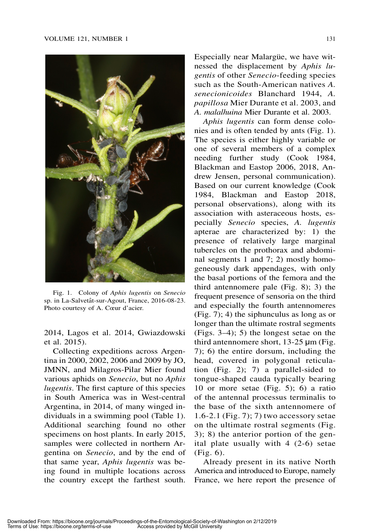

Fig. 1. Colony of Aphis lugentis on Senecio sp. in La-Salvetât-sur-Agout, France, 2016-08-23. Photo courtesy of A. Cœur d'acier.

2014, Lagos et al. 2014, Gwiazdowski et al. 2015).

Collecting expeditions across Argentina in 2000, 2002, 2006 and 2009 by JO, JMNN, and Milagros-Pilar Mier found various aphids on Senecio, but no Aphis lugentis. The first capture of this species in South America was in West-central Argentina, in 2014, of many winged individuals in a swimming pool (Table 1). Additional searching found no other specimens on host plants. In early 2015, samples were collected in northern Argentina on Senecio, and by the end of that same year, Aphis lugentis was being found in multiple locations across the country except the farthest south.

Especially near Malargüe, we have witnessed the displacement by Aphis lugentis of other Senecio-feeding species such as the South-American natives A. senecionicoides Blanchard 1944, A. papillosa Mier Durante et al. 2003, and A. malalhuina Mier Durante et al. 2003.

Aphis lugentis can form dense colonies and is often tended by ants (Fig. 1). The species is either highly variable or one of several members of a complex needing further study (Cook 1984, Blackman and Eastop 2006, 2018, Andrew Jensen, personal communication). Based on our current knowledge (Cook 1984, Blackman and Eastop 2018, personal observations), along with its association with asteraceous hosts, especially Senecio species, A. lugentis apterae are characterized by: 1) the presence of relatively large marginal tubercles on the prothorax and abdominal segments 1 and 7; 2) mostly homogeneously dark appendages, with only the basal portions of the femora and the third antennomere pale (Fig. 8); 3) the frequent presence of sensoria on the third and especially the fourth antennomeres (Fig. 7); 4) the siphunculus as long as or longer than the ultimate rostral segments (Figs. 3–4); 5) the longest setae on the third antennomere short, 13-25 µm (Fig. 7); 6) the entire dorsum, including the head, covered in polygonal reticulation (Fig. 2); 7) a parallel-sided to tongue-shaped cauda typically bearing 10 or more setae (Fig. 5); 6) a ratio of the antennal processus terminalis to the base of the sixth antennomere of 1.6-2.1 (Fig. 7); 7) two accessory setae on the ultimate rostral segments (Fig. 3); 8) the anterior portion of the genital plate usually with 4 (2-6) setae (Fig. 6).

Already present in its native North America and introduced to Europe, namely France, we here report the presence of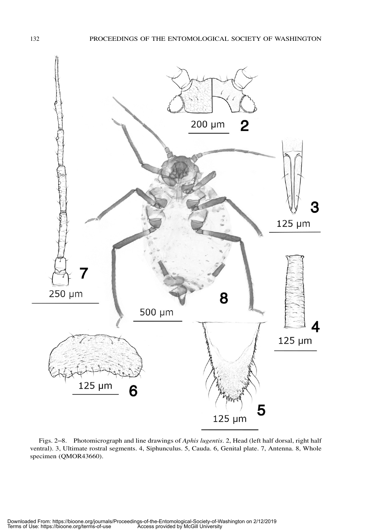

Figs. 2–8. Photomicrograph and line drawings of Aphis lugentis. 2, Head (left half dorsal, right half ventral). 3, Ultimate rostral segments. 4, Siphunculus. 5, Cauda. 6, Genital plate. 7, Antenna. 8, Whole specimen (QMOR43660).

Downloaded From: https://bioone.org/journals/Proceedings-of-the-Entomological-Society-of-Washington on 2/12/2019 Terms of Use: https://bioone.org/terms-of-use Access provided by McGill University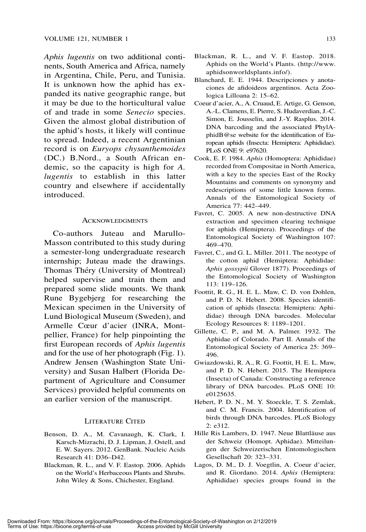Aphis lugentis on two additional continents, South America and Africa, namely in Argentina, Chile, Peru, and Tunisia. It is unknown how the aphid has expanded its native geographic range, but it may be due to the horticultural value of and trade in some Senecio species. Given the almost global distribution of the aphid's hosts, it likely will continue to spread. Indeed, a recent Argentinian record is on Euryops chysanthemoides (DC.) B.Nord., a South African endemic, so the capacity is high for A. lugentis to establish in this latter country and elsewhere if accidentally introduced.

## ACKNOWLEDGMENTS

Co-authors Juteau and Marullo-Masson contributed to this study during a semester-long undergraduate research internship; Juteau made the drawings. Thomas Théry (University of Montreal) helped supervise and train them and prepared some slide mounts. We thank Rune Bygebjerg for researching the Mexican specimen in the University of Lund Biological Museum (Sweden), and Armelle Cœur d'acier (INRA, Montpellier, France) for help pinpointing the first European records of Aphis lugentis and for the use of her photograph (Fig. 1). Andrew Jensen (Washington State University) and Susan Halbert (Florida Department of Agriculture and Consumer Services) provided helpful comments on an earlier version of the manuscript.

## Literature Cited

- Benson, D. A., M. Cavanaugh, K. Clark, I. Karsch-Mizrachi, D. J. Lipman, J. Ostell, and E. W. Sayers. 2012. GenBank. Nucleic Acids Research 41: D36–D42.
- Blackman, R. L., and V. F. Eastop. 2006. Aphids on the World's Herbaceous Plants and Shrubs. John Wiley & Sons, Chichester, England.
- Blackman, R. L., and V. F. Eastop. 2018. Aphids on the World's Plants. [\(http://www.](http://www.aphidsonworldsplants.info/) [aphidsonworldsplants.info/](http://www.aphidsonworldsplants.info/)).
- Blanchard, E. E. 1944. Descripciones y anotaciones de afidoideos argentinos. Acta Zoologica Lilloana 2: 15–62.
- Coeur d'acier, A., A. Cruaud, E. Artige, G. Genson, A.-L. Clamens, E. Pierre, S. Hudaverdian, J.-C. Simon, E. Jousselin, and J.-Y. Rasplus. 2014. DNA barcoding and the associated PhylAphidB@se website for the identification of European aphids (Insecta: Hemiptera: Aphididae). PLoS ONE 9: e97620.
- Cook, E. F. 1984. Aphis (Homoptera: Aphididae) recorded from Compositae in North America, with a key to the species East of the Rocky Mountains and comments on synonymy and redescriptions of some little known forms. Annals of the Entomological Society of America 77: 442–449.
- Favret, C. 2005. A new non-destructive DNA extraction and specimen clearing technique for aphids (Hemiptera). Proceedings of the Entomological Society of Washington 107: 469–470.
- Favret, C., and G. L. Miller. 2011. The neotype of the cotton aphid (Hemiptera: Aphididae: Aphis gossypii Glover 1877). Proceedings of the Entomological Society of Washington 113: 119–126.
- Foottit, R. G., H. E. L. Maw, C. D. von Dohlen, and P. D. N. Hebert. 2008. Species identification of aphids (Insecta: Hemiptera: Aphididae) through DNA barcodes. Molecular Ecology Resources 8: 1189–1201.
- Gillette, C. P., and M. A. Palmer. 1932. The Aphidae of Colorado. Part II. Annals of the Entomological Society of America 25: 369– 496.
- Gwiazdowski, R. A., R. G. Foottit, H. E. L. Maw, and P. D. N. Hebert. 2015. The Hemiptera (Insecta) of Canada: Constructing a reference library of DNA barcodes. PLoS ONE 10: e0125635.
- Hebert, P. D. N., M. Y. Stoeckle, T. S. Zemlak, and C. M. Francis. 2004. Identification of birds through DNA barcodes. PLoS Biology 2: e312.
- Hille Ris Lambers, D. 1947. Neue Blattläuse aus der Schweiz (Homopt. Aphidae). Mitteilungen der Schweizerischen Entomologischen Gesellschaft 20: 323–331.
- Lagos, D. M., D. J. Voegtlin, A. Coeur d'acier, and R. Giordano. 2014. Aphis (Hemiptera: Aphididae) species groups found in the